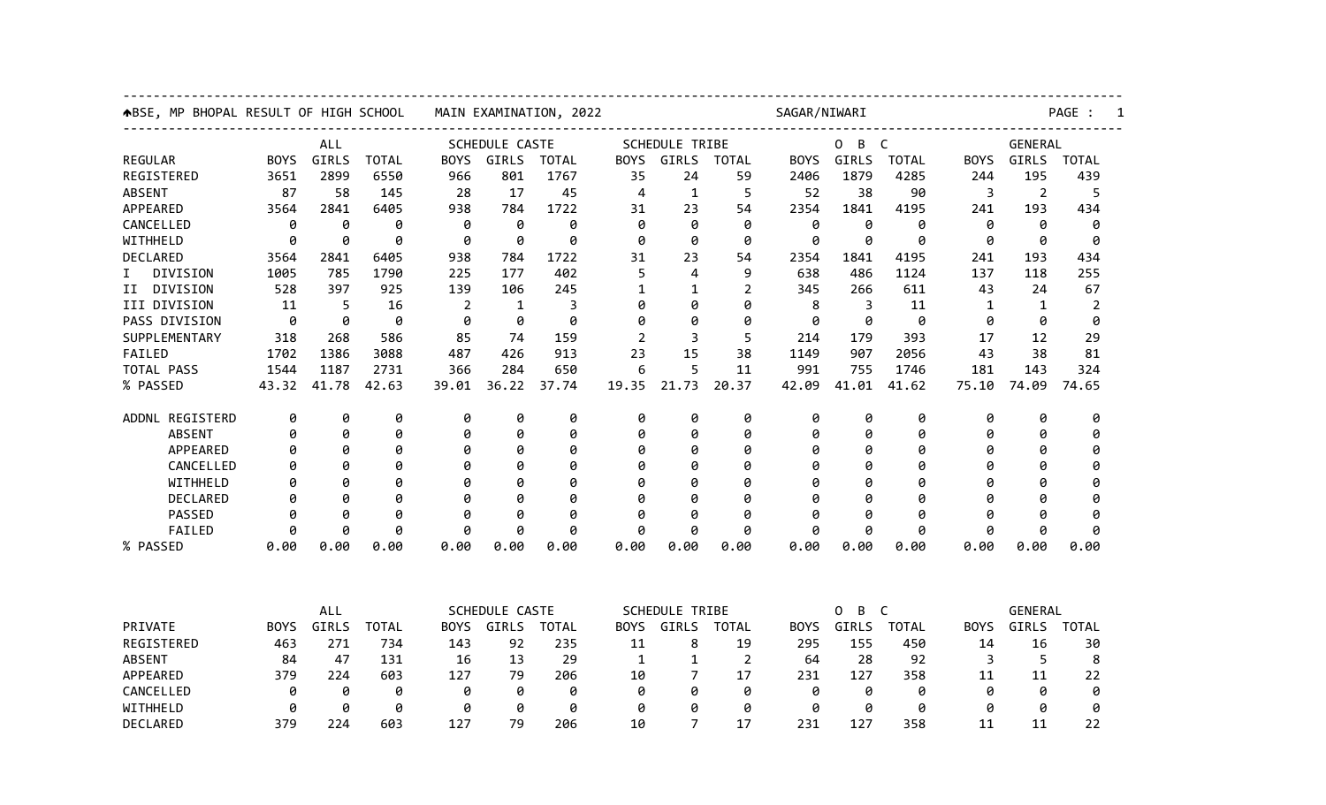| SCHEDULE CASTE<br><b>SCHEDULE TRIBE</b><br>B<br>GENERAL<br><b>ALL</b><br>0<br>$\mathsf{C}$<br>GIRLS<br>GIRLS<br>GIRLS<br><b>BOYS</b><br><b>TOTAL</b><br><b>BOYS</b><br><b>TOTAL</b><br><b>BOYS</b><br><b>TOTAL</b><br><b>BOYS</b><br>GIRLS<br><b>TOTAL</b><br><b>BOYS</b><br>GIRLS<br><b>TOTAL</b><br>3651<br>2899<br>6550<br>966<br>801<br>35<br>24<br>59<br>1879<br>4285<br>195<br>439<br>1767<br>2406<br>244<br><b>ABSENT</b><br>87<br>58<br>145<br>28<br>17<br>45<br>5<br>52<br>38<br>3<br>$\overline{2}$<br>5<br>4<br>1<br>90<br>APPEARED<br>2841<br>6405<br>938<br>1722<br>1841<br>434<br>3564<br>784<br>23<br>54<br>2354<br>4195<br>241<br>193<br>31<br>0<br>0<br>0<br>0<br>0<br>0<br>0<br>0<br>0<br>0<br>0<br>0<br>0<br>0<br>0<br>ø<br>ø<br>0<br>ø<br>ø<br>0<br>ø<br>0<br>0<br>ø<br>0<br>ø<br>ø<br>0<br>ø<br>2841<br>6405<br>938<br>1722<br>23<br>54<br>193<br>434<br>3564<br>784<br>31<br>2354<br>1841<br>4195<br>241<br>785<br>402<br>255<br>DIVISION<br>1005<br>1790<br>225<br>177<br>5<br>4<br>9<br>638<br>486<br>1124<br>137<br>118<br>I.<br>DIVISION<br>528<br>397<br>925<br>24<br>67<br>139<br>106<br>245<br>2<br>345<br>611<br>43<br>II<br>1<br>266<br>1<br>5<br>16<br>$\overline{2}$<br>$\mathbf{1}$<br>3<br>0<br>8<br>3<br>11<br>$\mathbf{1}$<br>$\overline{2}$<br>11<br>0<br>0<br>1<br>0<br>0<br>0<br>0<br>0<br>0<br>0<br>0<br>0<br>0<br>0<br>0<br>0<br>0<br>0<br>268<br>586<br>85<br>159<br>5<br>393<br>17<br>12<br>29<br>318<br>74<br>2<br>3<br>214<br>179<br>1702<br>1386<br>3088<br>913<br>23<br>15<br>43<br>38<br>487<br>426<br>38<br>1149<br>907<br>2056<br>81<br>1187<br>5<br>991<br>181<br>324<br>1544<br>2731<br>366<br>284<br>650<br>11<br>755<br>1746<br>143<br>6<br>41.78<br>39.01<br>36.22<br>21.73<br>20.37<br>42.09<br>41.01<br>74.09<br>43.32<br>42.63<br>37.74<br>19.35<br>41.62<br>75.10<br>74.65<br>ADDNL REGISTERD<br>0<br>0<br>0<br>0<br>0<br>0<br>0<br>0<br>0<br>0<br>0<br>0<br>0<br>0<br>0<br>0<br>0<br>0<br>0<br>0<br>0<br>0<br>0<br>0<br>0<br><b>ABSENT</b><br>0<br>0<br>0<br>0<br>0<br>0<br>0<br>0<br>0<br>0<br>0<br>0<br>0<br>0<br>APPEARED<br>Ø<br>0<br>0<br>0<br>0<br>0<br>0<br>0<br>0<br>0<br>0<br>CANCELLED<br>Ø<br>Ø<br>Ø<br>0<br>0<br>Ø<br>ø<br>0<br>0<br>a<br>WITHHELD<br>g<br>0<br>0<br>0<br>0<br>0<br>Ø<br>0<br>0<br>0<br>Ø<br>Ø<br>Ø<br>ø<br>Ø<br>DECLARED<br>ø<br>0<br>0<br>0<br>0<br>0<br>0<br>0<br>0<br>0<br>A<br>ø<br>ø<br>0<br>Ø<br>PASSED<br>ø<br>0<br>ø<br>ø<br>0<br>ø<br>ø<br>ø<br>ø<br>0<br>ø<br>ø<br>ø<br>ø<br>ø<br>0<br>0<br>FAILED<br>0<br>0<br>0<br>0<br>0<br>0<br>0<br>0<br>0<br>0<br>0<br>0<br>ø<br>0.00<br>0.00<br>0.00<br>0.00<br>0.00<br>0.00<br>0.00<br>0.00<br>0.00<br>0.00<br>0.00<br>0.00<br>0.00<br>0.00<br>0.00<br>ALL<br><b>SCHEDULE CASTE</b><br><b>SCHEDULE TRIBE</b><br>0<br>B<br>C<br>GENERAL<br>PRIVATE<br>GIRLS<br>GIRLS<br><b>TOTAL</b><br><b>BOYS</b><br>GIRLS<br><b>TOTAL</b><br>GIRLS<br><b>TOTAL</b><br><b>TOTAL</b><br><b>BOYS</b><br>GIRLS<br><b>TOTAL</b><br><b>BOYS</b><br><b>BOYS</b><br><b>BOYS</b><br>REGISTERED<br>271<br>92<br>8<br>19<br>463<br>734<br>143<br>235<br>11<br>295<br>155<br>450<br>14<br>16<br>30<br>84<br>47<br>131<br>13<br>29<br>28<br>92<br>5<br>8<br><b>ABSENT</b><br>16<br>1<br>2<br>64<br>3<br>1<br>APPEARED<br>379<br>603<br>224<br>127<br>79<br>206<br>7<br>17<br>231<br>127<br>358<br>22<br>10<br>11<br>11<br>CANCELLED<br>0<br>0<br>0<br>0<br>0<br>0<br>0<br>0<br>0<br>0<br>0<br>0<br>0<br>0<br>0<br>WITHHELD<br>0<br>0<br>0<br>0<br>0<br>0<br>0<br>0<br>0<br>0<br>0<br>0<br>0<br>ø<br>0<br>DECLARED<br>379<br>224<br>603<br>127<br>79<br>206<br>10<br>17<br>231<br>127<br>358<br>11<br>11<br>22<br>7 | ABSE, MP BHOPAL RESULT OF HIGH SCHOOL | MAIN EXAMINATION, 2022 |  |  |  |  | SAGAR/NIWARI |  |  |  |  |  | PAGE : |  |  |  |  |  |
|-------------------------------------------------------------------------------------------------------------------------------------------------------------------------------------------------------------------------------------------------------------------------------------------------------------------------------------------------------------------------------------------------------------------------------------------------------------------------------------------------------------------------------------------------------------------------------------------------------------------------------------------------------------------------------------------------------------------------------------------------------------------------------------------------------------------------------------------------------------------------------------------------------------------------------------------------------------------------------------------------------------------------------------------------------------------------------------------------------------------------------------------------------------------------------------------------------------------------------------------------------------------------------------------------------------------------------------------------------------------------------------------------------------------------------------------------------------------------------------------------------------------------------------------------------------------------------------------------------------------------------------------------------------------------------------------------------------------------------------------------------------------------------------------------------------------------------------------------------------------------------------------------------------------------------------------------------------------------------------------------------------------------------------------------------------------------------------------------------------------------------------------------------------------------------------------------------------------------------------------------------------------------------------------------------------------------------------------------------------------------------------------------------------------------------------------------------------------------------------------------------------------------------------------------------------------------------------------------------------------------------------------------------------------------------------------------------------------------------------------------------------------------------------------------------------------------------------------------------------------------------------------------------------------------------------------------------------------------------------------------------------------------------------------------------------------------------------------------------------------------------------------------------------------------------------------------------------------------------------------------------------------------------------------------------------------------------------------------------------------------------------------------------------------------------------------------------------------------------------------------------------------------------------------------------------------------------------------------------------------------------------|---------------------------------------|------------------------|--|--|--|--|--------------|--|--|--|--|--|--------|--|--|--|--|--|
|                                                                                                                                                                                                                                                                                                                                                                                                                                                                                                                                                                                                                                                                                                                                                                                                                                                                                                                                                                                                                                                                                                                                                                                                                                                                                                                                                                                                                                                                                                                                                                                                                                                                                                                                                                                                                                                                                                                                                                                                                                                                                                                                                                                                                                                                                                                                                                                                                                                                                                                                                                                                                                                                                                                                                                                                                                                                                                                                                                                                                                                                                                                                                                                                                                                                                                                                                                                                                                                                                                                                                                                                                                     |                                       |                        |  |  |  |  |              |  |  |  |  |  |        |  |  |  |  |  |
|                                                                                                                                                                                                                                                                                                                                                                                                                                                                                                                                                                                                                                                                                                                                                                                                                                                                                                                                                                                                                                                                                                                                                                                                                                                                                                                                                                                                                                                                                                                                                                                                                                                                                                                                                                                                                                                                                                                                                                                                                                                                                                                                                                                                                                                                                                                                                                                                                                                                                                                                                                                                                                                                                                                                                                                                                                                                                                                                                                                                                                                                                                                                                                                                                                                                                                                                                                                                                                                                                                                                                                                                                                     | <b>REGULAR</b>                        |                        |  |  |  |  |              |  |  |  |  |  |        |  |  |  |  |  |
|                                                                                                                                                                                                                                                                                                                                                                                                                                                                                                                                                                                                                                                                                                                                                                                                                                                                                                                                                                                                                                                                                                                                                                                                                                                                                                                                                                                                                                                                                                                                                                                                                                                                                                                                                                                                                                                                                                                                                                                                                                                                                                                                                                                                                                                                                                                                                                                                                                                                                                                                                                                                                                                                                                                                                                                                                                                                                                                                                                                                                                                                                                                                                                                                                                                                                                                                                                                                                                                                                                                                                                                                                                     | REGISTERED                            |                        |  |  |  |  |              |  |  |  |  |  |        |  |  |  |  |  |
|                                                                                                                                                                                                                                                                                                                                                                                                                                                                                                                                                                                                                                                                                                                                                                                                                                                                                                                                                                                                                                                                                                                                                                                                                                                                                                                                                                                                                                                                                                                                                                                                                                                                                                                                                                                                                                                                                                                                                                                                                                                                                                                                                                                                                                                                                                                                                                                                                                                                                                                                                                                                                                                                                                                                                                                                                                                                                                                                                                                                                                                                                                                                                                                                                                                                                                                                                                                                                                                                                                                                                                                                                                     |                                       |                        |  |  |  |  |              |  |  |  |  |  |        |  |  |  |  |  |
|                                                                                                                                                                                                                                                                                                                                                                                                                                                                                                                                                                                                                                                                                                                                                                                                                                                                                                                                                                                                                                                                                                                                                                                                                                                                                                                                                                                                                                                                                                                                                                                                                                                                                                                                                                                                                                                                                                                                                                                                                                                                                                                                                                                                                                                                                                                                                                                                                                                                                                                                                                                                                                                                                                                                                                                                                                                                                                                                                                                                                                                                                                                                                                                                                                                                                                                                                                                                                                                                                                                                                                                                                                     |                                       |                        |  |  |  |  |              |  |  |  |  |  |        |  |  |  |  |  |
|                                                                                                                                                                                                                                                                                                                                                                                                                                                                                                                                                                                                                                                                                                                                                                                                                                                                                                                                                                                                                                                                                                                                                                                                                                                                                                                                                                                                                                                                                                                                                                                                                                                                                                                                                                                                                                                                                                                                                                                                                                                                                                                                                                                                                                                                                                                                                                                                                                                                                                                                                                                                                                                                                                                                                                                                                                                                                                                                                                                                                                                                                                                                                                                                                                                                                                                                                                                                                                                                                                                                                                                                                                     | CANCELLED                             |                        |  |  |  |  |              |  |  |  |  |  |        |  |  |  |  |  |
|                                                                                                                                                                                                                                                                                                                                                                                                                                                                                                                                                                                                                                                                                                                                                                                                                                                                                                                                                                                                                                                                                                                                                                                                                                                                                                                                                                                                                                                                                                                                                                                                                                                                                                                                                                                                                                                                                                                                                                                                                                                                                                                                                                                                                                                                                                                                                                                                                                                                                                                                                                                                                                                                                                                                                                                                                                                                                                                                                                                                                                                                                                                                                                                                                                                                                                                                                                                                                                                                                                                                                                                                                                     | WITHHELD                              |                        |  |  |  |  |              |  |  |  |  |  |        |  |  |  |  |  |
|                                                                                                                                                                                                                                                                                                                                                                                                                                                                                                                                                                                                                                                                                                                                                                                                                                                                                                                                                                                                                                                                                                                                                                                                                                                                                                                                                                                                                                                                                                                                                                                                                                                                                                                                                                                                                                                                                                                                                                                                                                                                                                                                                                                                                                                                                                                                                                                                                                                                                                                                                                                                                                                                                                                                                                                                                                                                                                                                                                                                                                                                                                                                                                                                                                                                                                                                                                                                                                                                                                                                                                                                                                     | DECLARED                              |                        |  |  |  |  |              |  |  |  |  |  |        |  |  |  |  |  |
|                                                                                                                                                                                                                                                                                                                                                                                                                                                                                                                                                                                                                                                                                                                                                                                                                                                                                                                                                                                                                                                                                                                                                                                                                                                                                                                                                                                                                                                                                                                                                                                                                                                                                                                                                                                                                                                                                                                                                                                                                                                                                                                                                                                                                                                                                                                                                                                                                                                                                                                                                                                                                                                                                                                                                                                                                                                                                                                                                                                                                                                                                                                                                                                                                                                                                                                                                                                                                                                                                                                                                                                                                                     |                                       |                        |  |  |  |  |              |  |  |  |  |  |        |  |  |  |  |  |
|                                                                                                                                                                                                                                                                                                                                                                                                                                                                                                                                                                                                                                                                                                                                                                                                                                                                                                                                                                                                                                                                                                                                                                                                                                                                                                                                                                                                                                                                                                                                                                                                                                                                                                                                                                                                                                                                                                                                                                                                                                                                                                                                                                                                                                                                                                                                                                                                                                                                                                                                                                                                                                                                                                                                                                                                                                                                                                                                                                                                                                                                                                                                                                                                                                                                                                                                                                                                                                                                                                                                                                                                                                     |                                       |                        |  |  |  |  |              |  |  |  |  |  |        |  |  |  |  |  |
|                                                                                                                                                                                                                                                                                                                                                                                                                                                                                                                                                                                                                                                                                                                                                                                                                                                                                                                                                                                                                                                                                                                                                                                                                                                                                                                                                                                                                                                                                                                                                                                                                                                                                                                                                                                                                                                                                                                                                                                                                                                                                                                                                                                                                                                                                                                                                                                                                                                                                                                                                                                                                                                                                                                                                                                                                                                                                                                                                                                                                                                                                                                                                                                                                                                                                                                                                                                                                                                                                                                                                                                                                                     | III DIVISION                          |                        |  |  |  |  |              |  |  |  |  |  |        |  |  |  |  |  |
|                                                                                                                                                                                                                                                                                                                                                                                                                                                                                                                                                                                                                                                                                                                                                                                                                                                                                                                                                                                                                                                                                                                                                                                                                                                                                                                                                                                                                                                                                                                                                                                                                                                                                                                                                                                                                                                                                                                                                                                                                                                                                                                                                                                                                                                                                                                                                                                                                                                                                                                                                                                                                                                                                                                                                                                                                                                                                                                                                                                                                                                                                                                                                                                                                                                                                                                                                                                                                                                                                                                                                                                                                                     | PASS DIVISION                         |                        |  |  |  |  |              |  |  |  |  |  |        |  |  |  |  |  |
|                                                                                                                                                                                                                                                                                                                                                                                                                                                                                                                                                                                                                                                                                                                                                                                                                                                                                                                                                                                                                                                                                                                                                                                                                                                                                                                                                                                                                                                                                                                                                                                                                                                                                                                                                                                                                                                                                                                                                                                                                                                                                                                                                                                                                                                                                                                                                                                                                                                                                                                                                                                                                                                                                                                                                                                                                                                                                                                                                                                                                                                                                                                                                                                                                                                                                                                                                                                                                                                                                                                                                                                                                                     | SUPPLEMENTARY                         |                        |  |  |  |  |              |  |  |  |  |  |        |  |  |  |  |  |
|                                                                                                                                                                                                                                                                                                                                                                                                                                                                                                                                                                                                                                                                                                                                                                                                                                                                                                                                                                                                                                                                                                                                                                                                                                                                                                                                                                                                                                                                                                                                                                                                                                                                                                                                                                                                                                                                                                                                                                                                                                                                                                                                                                                                                                                                                                                                                                                                                                                                                                                                                                                                                                                                                                                                                                                                                                                                                                                                                                                                                                                                                                                                                                                                                                                                                                                                                                                                                                                                                                                                                                                                                                     | FAILED                                |                        |  |  |  |  |              |  |  |  |  |  |        |  |  |  |  |  |
|                                                                                                                                                                                                                                                                                                                                                                                                                                                                                                                                                                                                                                                                                                                                                                                                                                                                                                                                                                                                                                                                                                                                                                                                                                                                                                                                                                                                                                                                                                                                                                                                                                                                                                                                                                                                                                                                                                                                                                                                                                                                                                                                                                                                                                                                                                                                                                                                                                                                                                                                                                                                                                                                                                                                                                                                                                                                                                                                                                                                                                                                                                                                                                                                                                                                                                                                                                                                                                                                                                                                                                                                                                     | TOTAL PASS                            |                        |  |  |  |  |              |  |  |  |  |  |        |  |  |  |  |  |
|                                                                                                                                                                                                                                                                                                                                                                                                                                                                                                                                                                                                                                                                                                                                                                                                                                                                                                                                                                                                                                                                                                                                                                                                                                                                                                                                                                                                                                                                                                                                                                                                                                                                                                                                                                                                                                                                                                                                                                                                                                                                                                                                                                                                                                                                                                                                                                                                                                                                                                                                                                                                                                                                                                                                                                                                                                                                                                                                                                                                                                                                                                                                                                                                                                                                                                                                                                                                                                                                                                                                                                                                                                     | % PASSED                              |                        |  |  |  |  |              |  |  |  |  |  |        |  |  |  |  |  |
|                                                                                                                                                                                                                                                                                                                                                                                                                                                                                                                                                                                                                                                                                                                                                                                                                                                                                                                                                                                                                                                                                                                                                                                                                                                                                                                                                                                                                                                                                                                                                                                                                                                                                                                                                                                                                                                                                                                                                                                                                                                                                                                                                                                                                                                                                                                                                                                                                                                                                                                                                                                                                                                                                                                                                                                                                                                                                                                                                                                                                                                                                                                                                                                                                                                                                                                                                                                                                                                                                                                                                                                                                                     |                                       |                        |  |  |  |  |              |  |  |  |  |  |        |  |  |  |  |  |
|                                                                                                                                                                                                                                                                                                                                                                                                                                                                                                                                                                                                                                                                                                                                                                                                                                                                                                                                                                                                                                                                                                                                                                                                                                                                                                                                                                                                                                                                                                                                                                                                                                                                                                                                                                                                                                                                                                                                                                                                                                                                                                                                                                                                                                                                                                                                                                                                                                                                                                                                                                                                                                                                                                                                                                                                                                                                                                                                                                                                                                                                                                                                                                                                                                                                                                                                                                                                                                                                                                                                                                                                                                     |                                       |                        |  |  |  |  |              |  |  |  |  |  |        |  |  |  |  |  |
|                                                                                                                                                                                                                                                                                                                                                                                                                                                                                                                                                                                                                                                                                                                                                                                                                                                                                                                                                                                                                                                                                                                                                                                                                                                                                                                                                                                                                                                                                                                                                                                                                                                                                                                                                                                                                                                                                                                                                                                                                                                                                                                                                                                                                                                                                                                                                                                                                                                                                                                                                                                                                                                                                                                                                                                                                                                                                                                                                                                                                                                                                                                                                                                                                                                                                                                                                                                                                                                                                                                                                                                                                                     |                                       |                        |  |  |  |  |              |  |  |  |  |  |        |  |  |  |  |  |
|                                                                                                                                                                                                                                                                                                                                                                                                                                                                                                                                                                                                                                                                                                                                                                                                                                                                                                                                                                                                                                                                                                                                                                                                                                                                                                                                                                                                                                                                                                                                                                                                                                                                                                                                                                                                                                                                                                                                                                                                                                                                                                                                                                                                                                                                                                                                                                                                                                                                                                                                                                                                                                                                                                                                                                                                                                                                                                                                                                                                                                                                                                                                                                                                                                                                                                                                                                                                                                                                                                                                                                                                                                     |                                       |                        |  |  |  |  |              |  |  |  |  |  |        |  |  |  |  |  |
|                                                                                                                                                                                                                                                                                                                                                                                                                                                                                                                                                                                                                                                                                                                                                                                                                                                                                                                                                                                                                                                                                                                                                                                                                                                                                                                                                                                                                                                                                                                                                                                                                                                                                                                                                                                                                                                                                                                                                                                                                                                                                                                                                                                                                                                                                                                                                                                                                                                                                                                                                                                                                                                                                                                                                                                                                                                                                                                                                                                                                                                                                                                                                                                                                                                                                                                                                                                                                                                                                                                                                                                                                                     |                                       |                        |  |  |  |  |              |  |  |  |  |  |        |  |  |  |  |  |
|                                                                                                                                                                                                                                                                                                                                                                                                                                                                                                                                                                                                                                                                                                                                                                                                                                                                                                                                                                                                                                                                                                                                                                                                                                                                                                                                                                                                                                                                                                                                                                                                                                                                                                                                                                                                                                                                                                                                                                                                                                                                                                                                                                                                                                                                                                                                                                                                                                                                                                                                                                                                                                                                                                                                                                                                                                                                                                                                                                                                                                                                                                                                                                                                                                                                                                                                                                                                                                                                                                                                                                                                                                     |                                       |                        |  |  |  |  |              |  |  |  |  |  |        |  |  |  |  |  |
|                                                                                                                                                                                                                                                                                                                                                                                                                                                                                                                                                                                                                                                                                                                                                                                                                                                                                                                                                                                                                                                                                                                                                                                                                                                                                                                                                                                                                                                                                                                                                                                                                                                                                                                                                                                                                                                                                                                                                                                                                                                                                                                                                                                                                                                                                                                                                                                                                                                                                                                                                                                                                                                                                                                                                                                                                                                                                                                                                                                                                                                                                                                                                                                                                                                                                                                                                                                                                                                                                                                                                                                                                                     |                                       |                        |  |  |  |  |              |  |  |  |  |  |        |  |  |  |  |  |
|                                                                                                                                                                                                                                                                                                                                                                                                                                                                                                                                                                                                                                                                                                                                                                                                                                                                                                                                                                                                                                                                                                                                                                                                                                                                                                                                                                                                                                                                                                                                                                                                                                                                                                                                                                                                                                                                                                                                                                                                                                                                                                                                                                                                                                                                                                                                                                                                                                                                                                                                                                                                                                                                                                                                                                                                                                                                                                                                                                                                                                                                                                                                                                                                                                                                                                                                                                                                                                                                                                                                                                                                                                     |                                       |                        |  |  |  |  |              |  |  |  |  |  |        |  |  |  |  |  |
|                                                                                                                                                                                                                                                                                                                                                                                                                                                                                                                                                                                                                                                                                                                                                                                                                                                                                                                                                                                                                                                                                                                                                                                                                                                                                                                                                                                                                                                                                                                                                                                                                                                                                                                                                                                                                                                                                                                                                                                                                                                                                                                                                                                                                                                                                                                                                                                                                                                                                                                                                                                                                                                                                                                                                                                                                                                                                                                                                                                                                                                                                                                                                                                                                                                                                                                                                                                                                                                                                                                                                                                                                                     | % PASSED                              |                        |  |  |  |  |              |  |  |  |  |  |        |  |  |  |  |  |
|                                                                                                                                                                                                                                                                                                                                                                                                                                                                                                                                                                                                                                                                                                                                                                                                                                                                                                                                                                                                                                                                                                                                                                                                                                                                                                                                                                                                                                                                                                                                                                                                                                                                                                                                                                                                                                                                                                                                                                                                                                                                                                                                                                                                                                                                                                                                                                                                                                                                                                                                                                                                                                                                                                                                                                                                                                                                                                                                                                                                                                                                                                                                                                                                                                                                                                                                                                                                                                                                                                                                                                                                                                     |                                       |                        |  |  |  |  |              |  |  |  |  |  |        |  |  |  |  |  |
|                                                                                                                                                                                                                                                                                                                                                                                                                                                                                                                                                                                                                                                                                                                                                                                                                                                                                                                                                                                                                                                                                                                                                                                                                                                                                                                                                                                                                                                                                                                                                                                                                                                                                                                                                                                                                                                                                                                                                                                                                                                                                                                                                                                                                                                                                                                                                                                                                                                                                                                                                                                                                                                                                                                                                                                                                                                                                                                                                                                                                                                                                                                                                                                                                                                                                                                                                                                                                                                                                                                                                                                                                                     |                                       |                        |  |  |  |  |              |  |  |  |  |  |        |  |  |  |  |  |
|                                                                                                                                                                                                                                                                                                                                                                                                                                                                                                                                                                                                                                                                                                                                                                                                                                                                                                                                                                                                                                                                                                                                                                                                                                                                                                                                                                                                                                                                                                                                                                                                                                                                                                                                                                                                                                                                                                                                                                                                                                                                                                                                                                                                                                                                                                                                                                                                                                                                                                                                                                                                                                                                                                                                                                                                                                                                                                                                                                                                                                                                                                                                                                                                                                                                                                                                                                                                                                                                                                                                                                                                                                     |                                       |                        |  |  |  |  |              |  |  |  |  |  |        |  |  |  |  |  |
|                                                                                                                                                                                                                                                                                                                                                                                                                                                                                                                                                                                                                                                                                                                                                                                                                                                                                                                                                                                                                                                                                                                                                                                                                                                                                                                                                                                                                                                                                                                                                                                                                                                                                                                                                                                                                                                                                                                                                                                                                                                                                                                                                                                                                                                                                                                                                                                                                                                                                                                                                                                                                                                                                                                                                                                                                                                                                                                                                                                                                                                                                                                                                                                                                                                                                                                                                                                                                                                                                                                                                                                                                                     |                                       |                        |  |  |  |  |              |  |  |  |  |  |        |  |  |  |  |  |
|                                                                                                                                                                                                                                                                                                                                                                                                                                                                                                                                                                                                                                                                                                                                                                                                                                                                                                                                                                                                                                                                                                                                                                                                                                                                                                                                                                                                                                                                                                                                                                                                                                                                                                                                                                                                                                                                                                                                                                                                                                                                                                                                                                                                                                                                                                                                                                                                                                                                                                                                                                                                                                                                                                                                                                                                                                                                                                                                                                                                                                                                                                                                                                                                                                                                                                                                                                                                                                                                                                                                                                                                                                     |                                       |                        |  |  |  |  |              |  |  |  |  |  |        |  |  |  |  |  |
|                                                                                                                                                                                                                                                                                                                                                                                                                                                                                                                                                                                                                                                                                                                                                                                                                                                                                                                                                                                                                                                                                                                                                                                                                                                                                                                                                                                                                                                                                                                                                                                                                                                                                                                                                                                                                                                                                                                                                                                                                                                                                                                                                                                                                                                                                                                                                                                                                                                                                                                                                                                                                                                                                                                                                                                                                                                                                                                                                                                                                                                                                                                                                                                                                                                                                                                                                                                                                                                                                                                                                                                                                                     |                                       |                        |  |  |  |  |              |  |  |  |  |  |        |  |  |  |  |  |
|                                                                                                                                                                                                                                                                                                                                                                                                                                                                                                                                                                                                                                                                                                                                                                                                                                                                                                                                                                                                                                                                                                                                                                                                                                                                                                                                                                                                                                                                                                                                                                                                                                                                                                                                                                                                                                                                                                                                                                                                                                                                                                                                                                                                                                                                                                                                                                                                                                                                                                                                                                                                                                                                                                                                                                                                                                                                                                                                                                                                                                                                                                                                                                                                                                                                                                                                                                                                                                                                                                                                                                                                                                     |                                       |                        |  |  |  |  |              |  |  |  |  |  |        |  |  |  |  |  |
|                                                                                                                                                                                                                                                                                                                                                                                                                                                                                                                                                                                                                                                                                                                                                                                                                                                                                                                                                                                                                                                                                                                                                                                                                                                                                                                                                                                                                                                                                                                                                                                                                                                                                                                                                                                                                                                                                                                                                                                                                                                                                                                                                                                                                                                                                                                                                                                                                                                                                                                                                                                                                                                                                                                                                                                                                                                                                                                                                                                                                                                                                                                                                                                                                                                                                                                                                                                                                                                                                                                                                                                                                                     |                                       |                        |  |  |  |  |              |  |  |  |  |  |        |  |  |  |  |  |